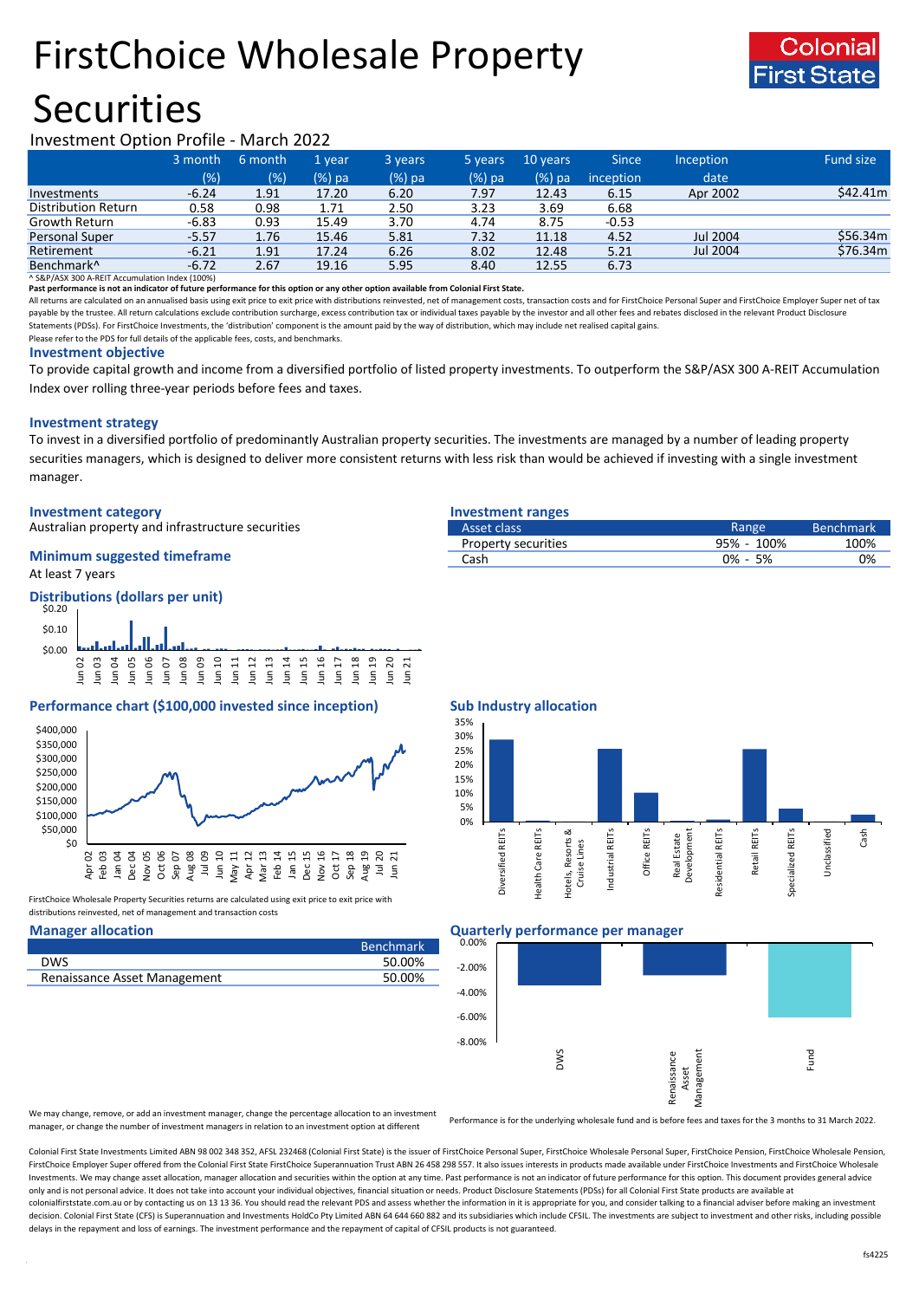# FirstChoice Wholesale Property

## **Securities**



### Investment Option Profile - March 2022

|                            | 3 month | 6 month | 1 vear | 3 years | 5 years | 10 years | <b>Since</b> | Inception | Fund size |
|----------------------------|---------|---------|--------|---------|---------|----------|--------------|-----------|-----------|
|                            | (%)     | (% )    | (%) pa | (%) pa  | (%) pa  | $(%)$ pa | inception    | date      |           |
| Investments                | $-6.24$ | 1.91    | 17.20  | 6.20    | 7.97    | 12.43    | 6.15         | Apr 2002  | \$42.41m  |
| <b>Distribution Return</b> | 0.58    | 0.98    | 1.71   | 2.50    | 3.23    | 3.69     | 6.68         |           |           |
| Growth Return              | $-6.83$ | 0.93    | 15.49  | 3.70    | 4.74    | 8.75     | $-0.53$      |           |           |
| Personal Super             | $-5.57$ | 1.76    | 15.46  | 5.81    | 7.32    | 11.18    | 4.52         | Jul 2004  | \$56.34m  |
| Retirement                 | $-6.21$ | 1.91    | 17.24  | 6.26    | 8.02    | 12.48    | 5.21         | Jul 2004  | \$76.34m  |
| Benchmark <sup>^</sup>     | $-6.72$ | 2.67    | 19.16  | 5.95    | 8.40    | 12.55    | 6.73         |           |           |

^ S&P/ASX 300 A-REIT Accumulation Index (100%)

**Past performance is not an indicator of future performance for this option or any other option available from Colonial First State.**

All returns are calculated on an annualised basis using exit price to exit price with distributions reinvested, net of management costs, transaction costs and for FirstChoice Personal Super and FirstChoice Employer Super n payable by the trustee. All return calculations exclude contribution surcharge, excess contribution tax or individual taxes payable by the investor and all other fees and rebates disclosed in the relevant Product Disclosur Statements (PDSs). For FirstChoice Investments, the 'distribution' component is the amount paid by the way of distribution, which may include net realised capital gains.

Please refer to the PDS for full details of the applicable fees, costs, and benchmarks.

#### **Investment objective**

To provide capital growth and income from a diversified portfolio of listed property investments. To outperform the S&P/ASX 300 A-REIT Accumulation Index over rolling three-year periods before fees and taxes.

#### **Investment strategy**

To invest in a diversified portfolio of predominantly Australian property securities. The investments are managed by a number of leading property securities managers, which is designed to deliver more consistent returns with less risk than would be achieved if investing with a single investment manager.

#### **Investment category Investment ranges**

Australian property and infrastructure securities

## **Minimum suggested timeframe**

At least 7 years



### **Performance chart (\$100,000 invested since inception) Sub Industry allocation**



FirstChoice Wholesale Property Securities returns are calculated using exit price to exit price with distributions reinvested, net of management and transaction costs

|                              | <b>Benchmark</b> |
|------------------------------|------------------|
| DWS                          | 50.00%           |
| Renaissance Asset Management | 50.00%           |
|                              |                  |

| Asset class         | Range       | <b>Benchmark</b> |
|---------------------|-------------|------------------|
| Property securities | 95% - 100%  | 100%             |
| Cash                | $0\% - 5\%$ | 0%               |
|                     |             |                  |







We may change, remove, or add an investment manager, change the percentage allocation to an investment manager, or change the number of investment managers in relation to an investment option at different

Performance is for the underlying wholesale fund and is before fees and taxes for the 3 months to 31 March 2022.

Colonial First State Investments Limited ABN 98 002 348 352, AFSL 232468 (Colonial First State) is the issuer of FirstChoice Personal Super, FirstChoice Wholesale Personal Super, FirstChoice Personal Super, FirstChoice Who FirstChoice Employer Super offered from the Colonial First State FirstChoice Superannuation Trust ABN 26 458 298 557. It also issues interests in products made available under FirstChoice Investments and FirstChoice Wholes Investments. We may change asset allocation, manager allocation and securities within the option at any time. Past performance is not an indicator of future performance for this option. This document provides general advic only and is not personal advice. It does not take into account your individual objectives, financial situation or needs. Product Disclosure Statements (PDSs) for all Colonial First State products are available at colonialfirststate.com.au or by contacting us on 13 13 36. You should read the relevant PDS and assess whether the information in it is appropriate for you, and consider talking to a financial adviser before making an inve decision. Colonial First State (CFS) is Superannuation and Investments HoldCo Pty Limited ABN 64 644 660 882 and its subsidiaries which include CFSIL. The investments are subject to investment and other risks, including po delays in the repayment and loss of earnings. The investment performance and the repayment of capital of CFSIL products is not guaranteed.